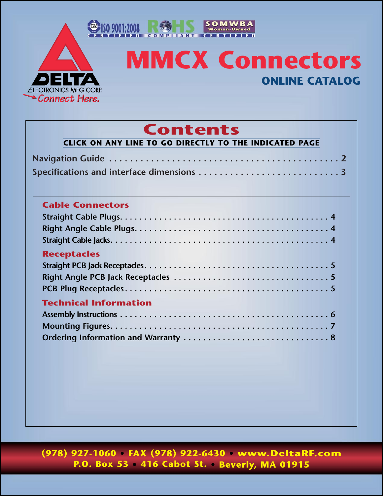<span id="page-0-0"></span>

# **MMCX Connectors ONLINE CATALOG**

SOMWBA<br>Woman-Owned

## **Contents**

| <b>Cable Connectors</b>      |  |
|------------------------------|--|
|                              |  |
|                              |  |
| <b>Receptacles</b>           |  |
|                              |  |
| <b>Technical Information</b> |  |
|                              |  |
|                              |  |

**(978) 927-1060 • FAX (978) 922-6430 • www.DeltaRF.com P.O. Box 53 • 416 Cabot St. • Beverly, MA 01915**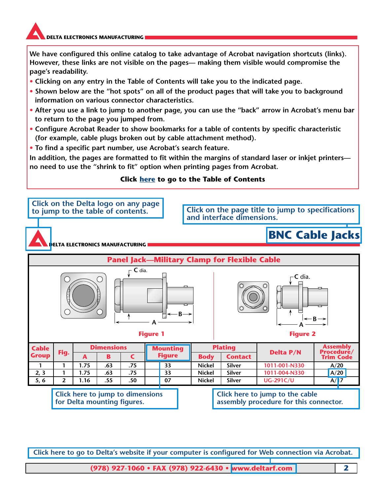<span id="page-1-0"></span>**We have configured this online catalog to take advantage of Acrobat navigation shortcuts (links). However, these links are not visible on the pages— making them visible would compromise the page's readability.**

- **Clicking on any entry in the Table of Contents will take you to the indicated page.**
- **Shown below are the "hot spots" on all of the product pages that will take you to background information on various connector characteristics.**
- **After you use a link to jump to another page, you can use the "back" arrow in Acrobat's menu bar to return to the page you jumped from.**
- **Configure Acrobat Reader to show bookmarks for a table of contents by specific characteristic (for example, cable plugs broken out by cable attachment method).**
- **To find a specific part number, use Acrobat's search feature.**

**In addition, the pages are formatted to fit within the margins of standard laser or inkjet printers no need to use the "shrink to fit" option when printing pages from Acrobat.**

#### **Click here [to go to the Table of Contents](#page-0-0)**



**Click here to go to Delta's website if your computer is configured for Web connection via Acrobat.**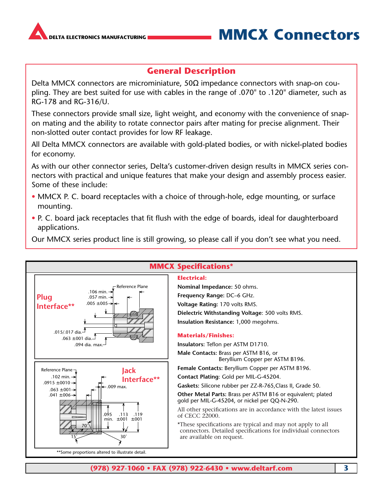<span id="page-2-0"></span>

### **DELECTRONICS MANUFACTURING MMCX Connectors**

### **General Description**

Delta MMCX connectors are microminiature, 50Ω impedance connectors with snap-on coupling. They are best suited for use with cables in the range of .070" to .120" diameter, such as RG-178 and RG-316/U.

These connectors provide small size, light weight, and economy with the convenience of snapon mating and the ability to rotate connector pairs after mating for precise alignment. Their non-slotted outer contact provides for low RF leakage.

All Delta MMCX connectors are available with gold-plated bodies, or with nickel-plated bodies for economy.

As with our other connector series, Delta's customer-driven design results in MMCX series connectors with practical and unique features that make your design and assembly process easier. Some of these include:

- MMCX P. C. board receptacles with a choice of through-hole, edge mounting, or surface mounting.
- P. C. board jack receptacles that fit flush with the edge of boards, ideal for daughterboard applications.

Our MMCX series product line is still growing, so please call if you don't see what you need.

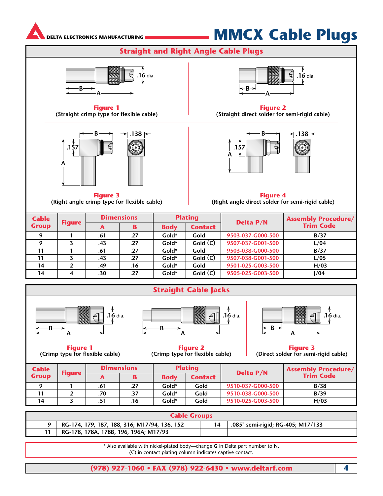<span id="page-3-0"></span>

# **MMCX Cable Plugs**

**Straight and Right Angle Cable Plugs**



**Figure 1 (Straight crimp type for flexible cable)**



**Figure 3 (Right angle crimp type for flexible cable)**



**Figure 2 (Straight direct solder for semi-rigid cable)**



**Figure 4 (Right angle direct solder for semi-rigid cable)**

| <b>Cable</b> |               | <b>Dimensions</b> |     | <b>Plating</b> |                | <b>Delta P/N</b>  | <b>Assembly Procedure/</b> |
|--------------|---------------|-------------------|-----|----------------|----------------|-------------------|----------------------------|
| <b>Group</b> | <b>Figure</b> | А                 | B   | <b>Body</b>    | <b>Contact</b> |                   | <b>Trim Code</b>           |
| $\Omega$     |               | .61               | .27 | Gold*          | Gold           | 9503-037-G000-500 | B/37                       |
|              |               | .43               | .27 | Gold*          | Gold (C)       | 9507-037-G001-500 | L/04                       |
| 11           |               | .61               | .27 | Gold*          | Gold           | 9503-038-G000-500 | B/37                       |
| 11           | 3             | .43               | .27 | Gold*          | Gold(C)        | 9507-038-G001-500 | L/05                       |
| 14           |               | .49               | .16 | Gold*          | Gold           | 9501-025-G003-500 | H/03                       |
| 14           | 4             | .30               | .27 | Gold*          | Gold(C)        | 9505-025-G003-500 | 1/04                       |





**Figure 1 (Crimp type for flexible cable)**



**Figure 2 (Crimp type for flexible cable)**



**Figure 3 (Direct solder for semi-rigid cable)**

| <b>Cable</b> |               | <b>Dimensions</b> |     | <b>Plating</b> |         | <b>Delta P/N</b>  | <b>Assembly Procedure/</b> |
|--------------|---------------|-------------------|-----|----------------|---------|-------------------|----------------------------|
| <b>Group</b> | <b>Figure</b> |                   | B   | <b>Body</b>    | Contact |                   | <b>Trim Code</b>           |
|              |               | .61               | .27 | Gold*          | Gold    | 9510-037-G000-500 | B/38                       |
|              |               | .70               | .37 | Gold*          | Gold    | 9510-038-G000-500 | B/39                       |
| 14           |               |                   | .16 | Gold*          | Gold    | 9510-025-G003-500 | H/03                       |

| <b>Cable Groups</b> |                                              |    |                                   |  |  |  |
|---------------------|----------------------------------------------|----|-----------------------------------|--|--|--|
|                     | RG-174, 179, 187, 188, 316; M17/94, 136, 152 | 14 | .085" semi-rigid; RG-405; M17/133 |  |  |  |
|                     | RG-178, 178A, 178B, 196, 196A; M17/93        |    |                                   |  |  |  |

\* Also available with nickel-plated body—change **G** in Delta part number to **N**. (C) in contact plating column indicates captive contact.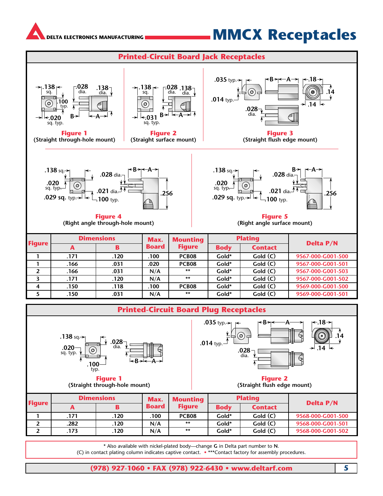## **MMCX Receptacles**

<span id="page-4-0"></span>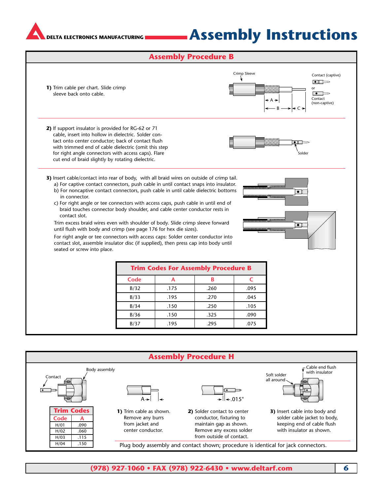## **Assembly Instructions**

#### **Assembly Procedure B**

<span id="page-5-0"></span>

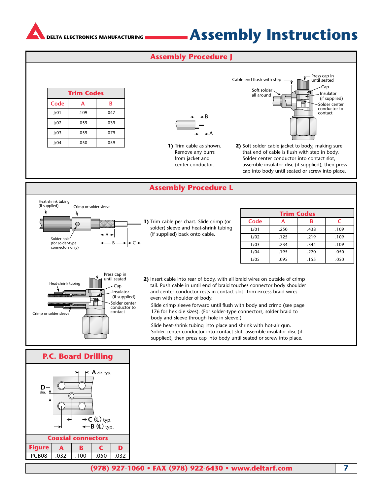### **Assembly Instructions**

#### **Assembly Procedure J**

<span id="page-6-0"></span>

| <b>Trim Codes</b> |      |      |  |  |  |
|-------------------|------|------|--|--|--|
| Code              | А    | B    |  |  |  |
| 1/01              | .109 | .047 |  |  |  |
| 1/02              | .059 | .039 |  |  |  |
| 1/03              | .059 | .079 |  |  |  |
| J/04              | .050 | .059 |  |  |  |

A – R

**1)** Trim cable as shown. Remove any burrs from jacket and center conductor.

Soft solder all around Solder center conductor to contact Cable end flush with step  $\overline{\phantom{a}}$  Press cap in until seated Cap Insulator (if supplied)

**2)** Soft solder cable jacket to body, making sure that end of cable is flush with step in body. Solder center conductor into contact slot, assemble insulator disc (if supplied), then press cap into body until seated or screw into place.

#### **Assembly Procedure L**



**P.C. Board Drilling A** dia. typ. **D** dia. **B** (**L**) typ.  $\mathsf{C}$  ( $\mathsf{L}$ ) typ. **Coaxial connectors Figure ABCD** PCB08 .032 .100 .050 .032